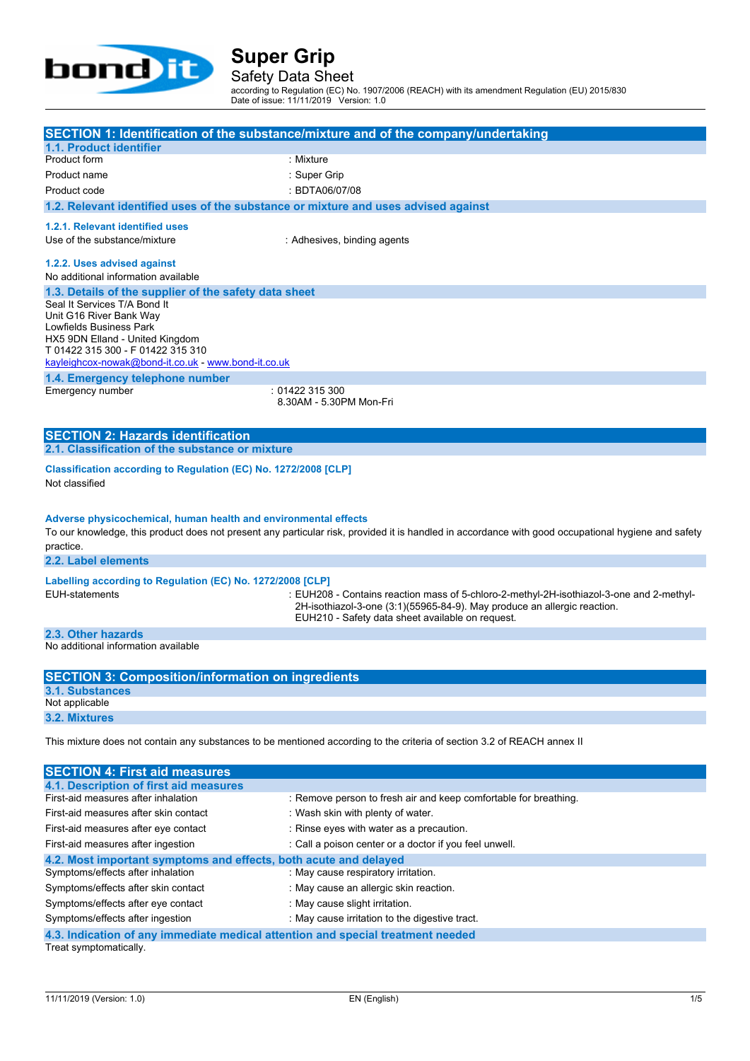

Safety Data Sheet according to Regulation (EC) No. 1907/2006 (REACH) with its amendment Regulation (EU) 2015/830

Date of issue: 11/11/2019 Version: 1.0

|                                                                                             | SECTION 1: Identification of the substance/mixture and of the company/undertaking                                                                   |
|---------------------------------------------------------------------------------------------|-----------------------------------------------------------------------------------------------------------------------------------------------------|
| 1.1. Product identifier<br>Product form                                                     | : Mixture                                                                                                                                           |
|                                                                                             |                                                                                                                                                     |
| Product name                                                                                | : Super Grip                                                                                                                                        |
| Product code                                                                                | : BDTA06/07/08                                                                                                                                      |
| 1.2. Relevant identified uses of the substance or mixture and uses advised against          |                                                                                                                                                     |
| 1.2.1. Relevant identified uses                                                             |                                                                                                                                                     |
| Use of the substance/mixture                                                                | : Adhesives, binding agents                                                                                                                         |
|                                                                                             |                                                                                                                                                     |
| 1.2.2. Uses advised against                                                                 |                                                                                                                                                     |
| No additional information available                                                         |                                                                                                                                                     |
| 1.3. Details of the supplier of the safety data sheet<br>Seal It Services T/A Bond It       |                                                                                                                                                     |
| Unit G16 River Bank Way                                                                     |                                                                                                                                                     |
| Lowfields Business Park                                                                     |                                                                                                                                                     |
| HX5 9DN Elland - United Kingdom                                                             |                                                                                                                                                     |
| T 01422 315 300 - F 01422 315 310                                                           |                                                                                                                                                     |
| kayleighcox-nowak@bond-it.co.uk - www.bond-it.co.uk                                         |                                                                                                                                                     |
| 1.4. Emergency telephone number                                                             |                                                                                                                                                     |
| Emergency number                                                                            | : 01422 315 300<br>8.30AM - 5.30PM Mon-Fri                                                                                                          |
|                                                                                             |                                                                                                                                                     |
|                                                                                             |                                                                                                                                                     |
| <b>SECTION 2: Hazards identification</b><br>2.1. Classification of the substance or mixture |                                                                                                                                                     |
|                                                                                             |                                                                                                                                                     |
| Classification according to Regulation (EC) No. 1272/2008 [CLP]                             |                                                                                                                                                     |
| Not classified                                                                              |                                                                                                                                                     |
|                                                                                             |                                                                                                                                                     |
| Adverse physicochemical, human health and environmental effects                             |                                                                                                                                                     |
|                                                                                             | To our knowledge, this product does not present any particular risk, provided it is handled in accordance with good occupational hygiene and safety |
| practice.                                                                                   |                                                                                                                                                     |
| 2.2. Label elements                                                                         |                                                                                                                                                     |
|                                                                                             |                                                                                                                                                     |
| Labelling according to Regulation (EC) No. 1272/2008 [CLP]                                  |                                                                                                                                                     |
| <b>EUH-statements</b>                                                                       | : EUH208 - Contains reaction mass of 5-chloro-2-methyl-2H-isothiazol-3-one and 2-methyl-                                                            |
|                                                                                             | 2H-isothiazol-3-one (3:1)(55965-84-9). May produce an allergic reaction.<br>EUH210 - Safety data sheet available on request.                        |
|                                                                                             |                                                                                                                                                     |
| 2.3. Other hazards<br>No additional information available                                   |                                                                                                                                                     |
|                                                                                             |                                                                                                                                                     |
| <b>SECTION 3: Composition/information on ingredients</b>                                    |                                                                                                                                                     |
| <b>3.1. Substances</b>                                                                      |                                                                                                                                                     |
|                                                                                             |                                                                                                                                                     |
|                                                                                             |                                                                                                                                                     |
| Not applicable                                                                              |                                                                                                                                                     |
| 3.2. Mixtures                                                                               |                                                                                                                                                     |
|                                                                                             | This mixture does not contain any substances to be mentioned according to the criteria of section 3.2 of REACH annex II                             |
|                                                                                             |                                                                                                                                                     |
| <b>SECTION 4: First aid measures</b>                                                        |                                                                                                                                                     |
| 4.1. Description of first aid measures                                                      |                                                                                                                                                     |
| First-aid measures after inhalation                                                         | : Remove person to fresh air and keep comfortable for breathing.                                                                                    |
| First-aid measures after skin contact                                                       | : Wash skin with plenty of water.                                                                                                                   |
| First-aid measures after eye contact                                                        | : Rinse eyes with water as a precaution.                                                                                                            |
| First-aid measures after ingestion                                                          |                                                                                                                                                     |
| 4.2. Most important symptoms and effects, both acute and delayed                            | : Call a poison center or a doctor if you feel unwell.                                                                                              |

Symptoms/effects after skin contact : May cause an allergic skin reaction.

Symptoms/effects after eye contact : May cause slight irritation.

Symptoms/effects after ingestion : May cause irritation to the digestive tract.

**4.3. Indication of any immediate medical attention and special treatment needed**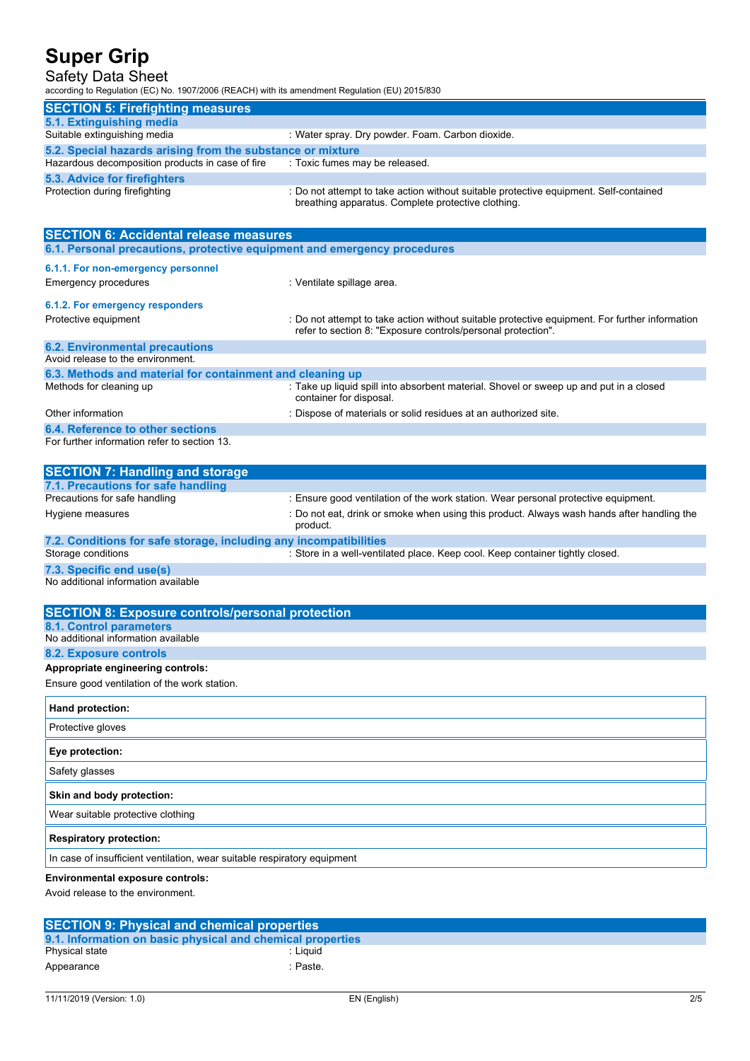### Safety Data Sheet

according to Regulation (EC) No. 1907/2006 (REACH) with its amendment Regulation (EU) 2015/830

| <b>SECTION 5: Firefighting measures</b>                                         |                                                                                                                                             |
|---------------------------------------------------------------------------------|---------------------------------------------------------------------------------------------------------------------------------------------|
| 5.1. Extinguishing media                                                        |                                                                                                                                             |
| Suitable extinguishing media                                                    | : Water spray. Dry powder. Foam. Carbon dioxide.                                                                                            |
| 5.2. Special hazards arising from the substance or mixture                      |                                                                                                                                             |
| Hazardous decomposition products in case of fire : Toxic fumes may be released. |                                                                                                                                             |
| 5.3. Advice for firefighters                                                    |                                                                                                                                             |
| Protection during firefighting                                                  | : Do not attempt to take action without suitable protective equipment. Self-contained<br>breathing apparatus. Complete protective clothing. |

| <b>SECTION 6: Accidental release measures</b>                            |                                                                                                                                                                |
|--------------------------------------------------------------------------|----------------------------------------------------------------------------------------------------------------------------------------------------------------|
| 6.1. Personal precautions, protective equipment and emergency procedures |                                                                                                                                                                |
| 6.1.1. For non-emergency personnel                                       |                                                                                                                                                                |
| <b>Emergency procedures</b>                                              | : Ventilate spillage area.                                                                                                                                     |
| 6.1.2. For emergency responders                                          |                                                                                                                                                                |
| Protective equipment                                                     | : Do not attempt to take action without suitable protective equipment. For further information<br>refer to section 8: "Exposure controls/personal protection". |
| <b>6.2. Environmental precautions</b>                                    |                                                                                                                                                                |
| Avoid release to the environment.                                        |                                                                                                                                                                |
| 6.3. Methods and material for containment and cleaning up                |                                                                                                                                                                |
| Methods for cleaning up                                                  | : Take up liquid spill into absorbent material. Shovel or sweep up and put in a closed<br>container for disposal.                                              |
| Other information                                                        | : Dispose of materials or solid residues at an authorized site.                                                                                                |
| 6.4. Reference to other sections                                         |                                                                                                                                                                |
| For further information refer to section 13.                             |                                                                                                                                                                |

| <b>SECTION 7: Handling and storage</b>                            |                                                                                                        |
|-------------------------------------------------------------------|--------------------------------------------------------------------------------------------------------|
| 7.1. Precautions for safe handling                                |                                                                                                        |
| Precautions for safe handling                                     | : Ensure good ventilation of the work station. Wear personal protective equipment.                     |
| Hygiene measures                                                  | : Do not eat, drink or smoke when using this product. Always wash hands after handling the<br>product. |
| 7.2. Conditions for safe storage, including any incompatibilities |                                                                                                        |
| Storage conditions                                                | : Store in a well-ventilated place. Keep cool. Keep container tightly closed.                          |
| 7.3. Specific end use(s)                                          |                                                                                                        |

No additional information available

**Environmental exposure controls:**

Avoid release to the environment.

| <b>SECTION 9: Physical and chemical properties</b>         |          |  |  |
|------------------------------------------------------------|----------|--|--|
| 9.1. Information on basic physical and chemical properties |          |  |  |
| Physical state                                             | : Liauid |  |  |
| Appearance                                                 | :Paste.  |  |  |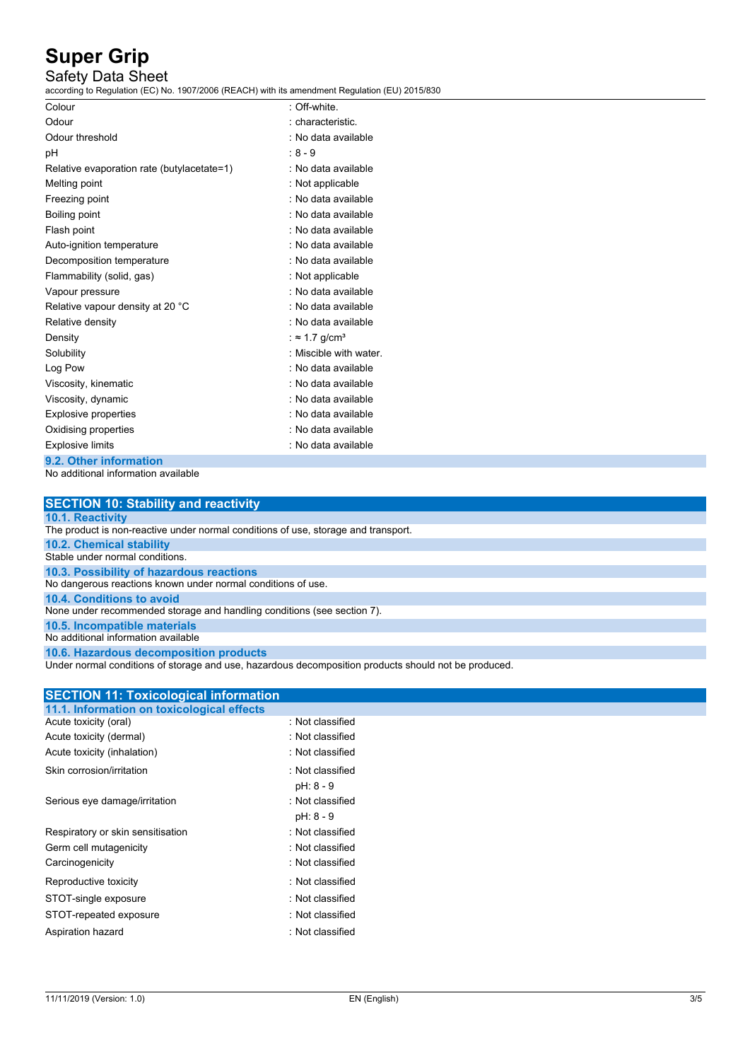### Safety Data Sheet

according to Regulation (EC) No. 1907/2006 (REACH) with its amendment Regulation (EU) 2015/830

| Colour                                     | : Off-white.              |
|--------------------------------------------|---------------------------|
| Odour                                      | : characteristic.         |
| Odour threshold                            | : No data available       |
| рH                                         | $:8-9$                    |
| Relative evaporation rate (butylacetate=1) | : No data available       |
| Melting point                              | : Not applicable          |
| Freezing point                             | : No data available       |
| Boiling point                              | . No data available       |
| Flash point                                | . No data available       |
| Auto-ignition temperature                  | : No data available       |
| Decomposition temperature                  | : No data available       |
| Flammability (solid, gas)                  | : Not applicable          |
| Vapour pressure                            | : No data available       |
| Relative vapour density at 20 °C           | : No data available       |
| Relative density                           | : No data available       |
| Density                                    | : ≈ 1.7 g/cm <sup>3</sup> |
| Solubility                                 | : Miscible with water.    |
| Log Pow                                    | : No data available       |
| Viscosity, kinematic                       | : No data available       |
| Viscosity, dynamic                         | : No data available       |
| <b>Explosive properties</b>                | : No data available       |
| Oxidising properties                       | : No data available       |
| <b>Explosive limits</b>                    | . No data available       |
| 9.2. Other information                     |                           |

No additional information available

|     |  |  |  | <b>SECTION 10: Stability and reactivity</b> |  |
|-----|--|--|--|---------------------------------------------|--|
| --- |  |  |  |                                             |  |

#### **10.1. Reactivity** The product is non-reactive under normal conditions of use, storage and transport.

**10.2. Chemical stability**

Stable under normal conditions. **10.3. Possibility of hazardous reactions**

No dangerous reactions known under normal conditions of use.

**10.4. Conditions to avoid**

None under recommended storage and handling conditions (see section 7).

**10.5. Incompatible materials**

No additional information available

**10.6. Hazardous decomposition products**

Under normal conditions of storage and use, hazardous decomposition products should not be produced.

| <b>SECTION 11: Toxicological information</b> |                  |  |
|----------------------------------------------|------------------|--|
| 11.1. Information on toxicological effects   |                  |  |
| Acute toxicity (oral)                        | : Not classified |  |
| Acute toxicity (dermal)                      | : Not classified |  |
| Acute toxicity (inhalation)                  | : Not classified |  |
| Skin corrosion/irritation                    | : Not classified |  |
|                                              | pH: 8 - 9        |  |
| Serious eye damage/irritation                | : Not classified |  |
|                                              | pH: 8 - 9        |  |
| Respiratory or skin sensitisation            | : Not classified |  |
| Germ cell mutagenicity                       | : Not classified |  |
| Carcinogenicity                              | : Not classified |  |
| Reproductive toxicity                        | : Not classified |  |
| STOT-single exposure                         | : Not classified |  |
| STOT-repeated exposure                       | : Not classified |  |
| Aspiration hazard                            | : Not classified |  |
|                                              |                  |  |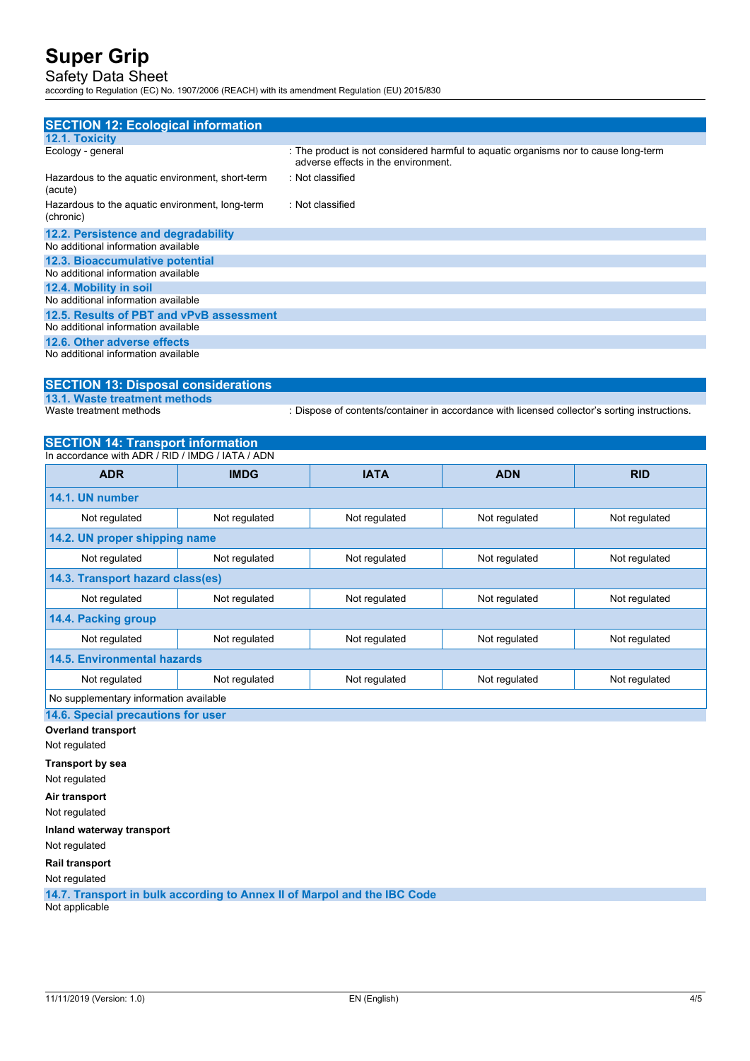## Safety Data Sheet

according to Regulation (EC) No. 1907/2006 (REACH) with its amendment Regulation (EU) 2015/830

| <b>SECTION 12: Ecological information</b>                    |                                                                                                                            |
|--------------------------------------------------------------|----------------------------------------------------------------------------------------------------------------------------|
| 12.1. Toxicity                                               |                                                                                                                            |
| Ecology - general                                            | : The product is not considered harmful to aquatic organisms nor to cause long-term<br>adverse effects in the environment. |
| Hazardous to the aquatic environment, short-term<br>(acute)  | : Not classified                                                                                                           |
| Hazardous to the aquatic environment, long-term<br>(chronic) | : Not classified                                                                                                           |
| 12.2. Persistence and degradability                          |                                                                                                                            |
| No additional information available                          |                                                                                                                            |
| 12.3. Bioaccumulative potential                              |                                                                                                                            |
| No additional information available                          |                                                                                                                            |
| 12.4. Mobility in soil                                       |                                                                                                                            |
| No additional information available                          |                                                                                                                            |
| 12.5. Results of PBT and vPvB assessment                     |                                                                                                                            |
| No additional information available                          |                                                                                                                            |
| 12.6. Other adverse effects                                  |                                                                                                                            |
| No additional information available                          |                                                                                                                            |

## **SECTION 13: Disposal considerations**

**13.1. Waste treatment methods**

: Dispose of contents/container in accordance with licensed collector's sorting instructions.

### **SECTION 14: Transport information**

| In accordance with ADR / RID / IMDG / IATA / ADN |                                                                  |               |               |               |
|--------------------------------------------------|------------------------------------------------------------------|---------------|---------------|---------------|
| <b>ADR</b>                                       | <b>IMDG</b>                                                      | <b>IATA</b>   | <b>ADN</b>    | <b>RID</b>    |
| 14.1. UN number                                  |                                                                  |               |               |               |
| Not regulated                                    | Not regulated                                                    | Not regulated | Not regulated | Not regulated |
| 14.2. UN proper shipping name                    |                                                                  |               |               |               |
| Not regulated                                    | Not regulated<br>Not regulated<br>Not regulated<br>Not regulated |               |               |               |
| 14.3. Transport hazard class(es)                 |                                                                  |               |               |               |
| Not regulated                                    | Not regulated                                                    | Not regulated | Not regulated | Not regulated |
| 14.4. Packing group                              |                                                                  |               |               |               |
| Not regulated                                    | Not regulated                                                    | Not regulated | Not regulated | Not regulated |
| 14.5. Environmental hazards                      |                                                                  |               |               |               |
| Not regulated                                    | Not regulated                                                    | Not regulated | Not regulated | Not regulated |
| No supplementary information available           |                                                                  |               |               |               |

### **14.6. Special precautions for user**

**Overland transport**

Not regulated

**Transport by sea**

Not regulated

**Air transport**

Not regulated

**Inland waterway transport**

Not regulated

**Rail transport**

Not regulated

**14.7. Transport in bulk according to Annex II of Marpol and the IBC Code** Not applicable